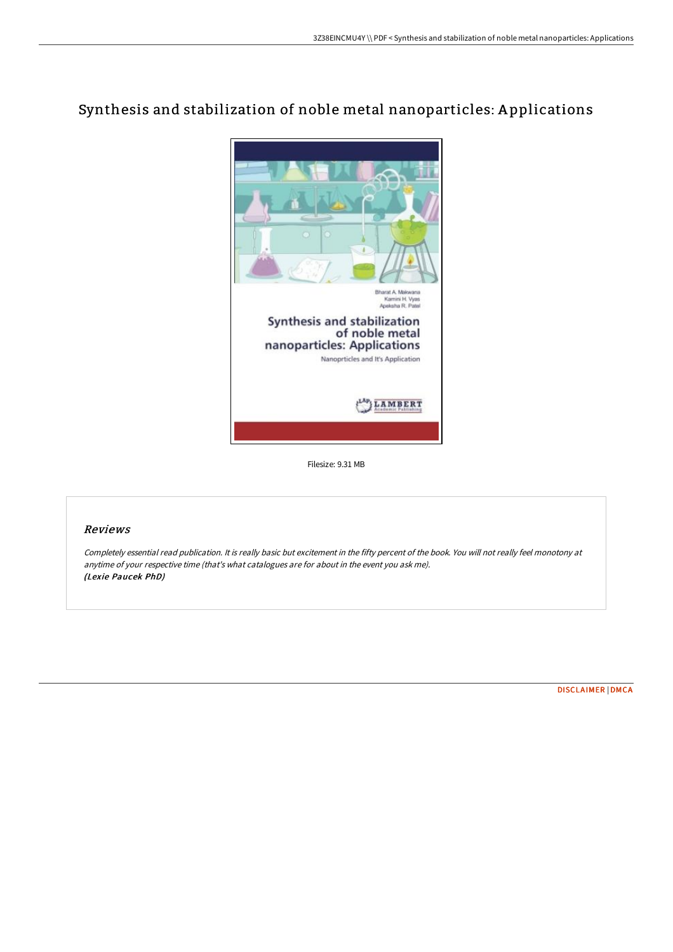# Synthesis and stabilization of noble metal nanoparticles: A pplications



Filesize: 9.31 MB

## Reviews

Completely essential read publication. It is really basic but excitement in the fifty percent of the book. You will not really feel monotony at anytime of your respective time (that's what catalogues are for about in the event you ask me). (Lexie Paucek PhD)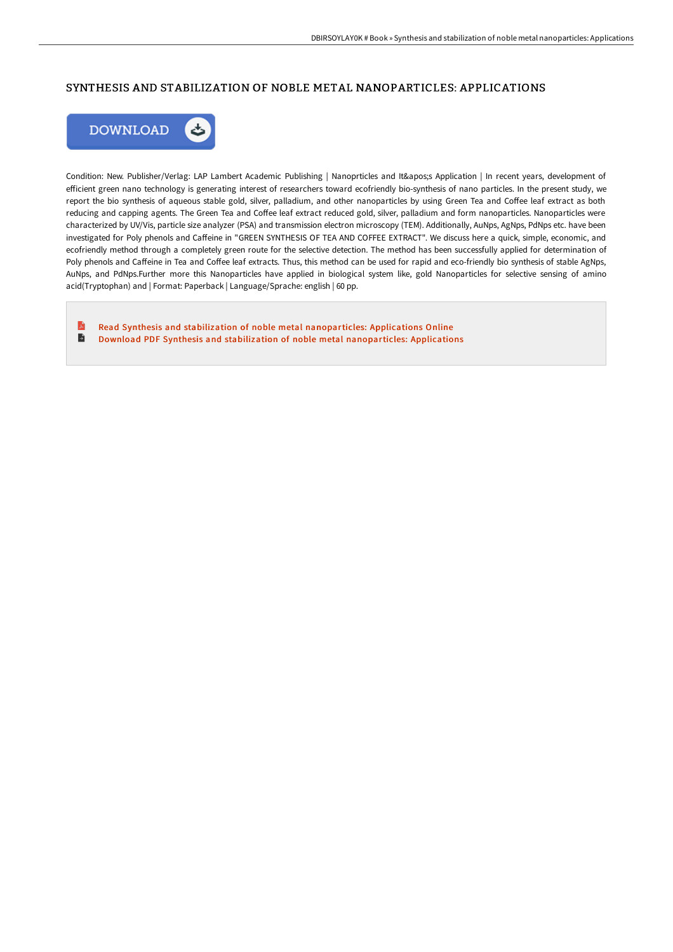#### SYNTHESIS AND STABILIZATION OF NOBLE METAL NANOPARTICLES: APPLICATIONS



Condition: New. Publisher/Verlag: LAP Lambert Academic Publishing | Nanoprticles and It's Application | In recent years, development of efficient green nano technology is generating interest of researchers toward ecofriendly bio-synthesis of nano particles. In the present study, we report the bio synthesis of aqueous stable gold, silver, palladium, and other nanoparticles by using Green Tea and Coffee leaf extract as both reducing and capping agents. The Green Tea and Coffee leaf extract reduced gold, silver, palladium and form nanoparticles. Nanoparticles were characterized by UV/Vis, particle size analyzer (PSA) and transmission electron microscopy (TEM). Additionally, AuNps, AgNps, PdNps etc. have been investigated for Poly phenols and Caffeine in "GREEN SYNTHESIS OF TEA AND COFFEE EXTRACT". We discuss here a quick, simple, economic, and ecofriendly method through a completely green route for the selective detection. The method has been successfully applied for determination of Poly phenols and Caffeine in Tea and Coffee leaf extracts. Thus, this method can be used for rapid and eco-friendly bio synthesis of stable AgNps, AuNps, and PdNps.Further more this Nanoparticles have applied in biological system like, gold Nanoparticles for selective sensing of amino acid(Tryptophan) and | Format: Paperback | Language/Sprache: english | 60 pp.

E Read Synthesis and stabilization of noble metal [nanoparticles:](http://digilib.live/synthesis-and-stabilization-of-noble-metal-nanop.html) Applications Online  $\blacksquare$ Download PDF Synthesis and stabilization of noble metal [nanoparticles:](http://digilib.live/synthesis-and-stabilization-of-noble-metal-nanop.html) Applications